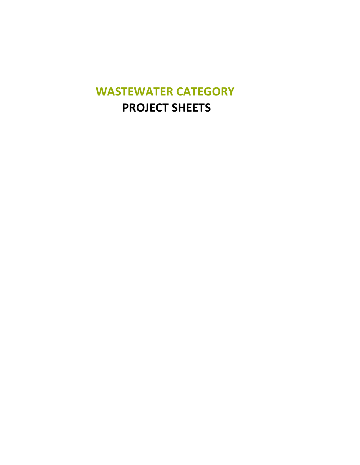## **WASTEWATER CATEGORY PROJECT SHEETS**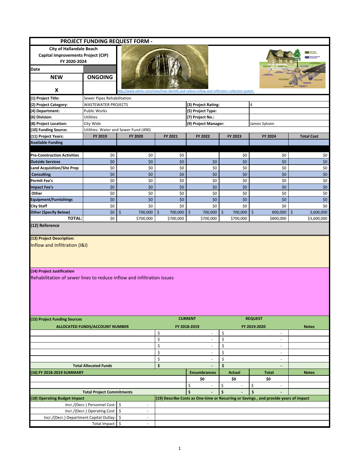| PROJECT FUNDING REQUEST FORM -                                                                                                                                           |                                                                                      |                                                                                              |                                |                                |                                |                                                                                      |                      |  |  |
|--------------------------------------------------------------------------------------------------------------------------------------------------------------------------|--------------------------------------------------------------------------------------|----------------------------------------------------------------------------------------------|--------------------------------|--------------------------------|--------------------------------|--------------------------------------------------------------------------------------|----------------------|--|--|
| <b>City of Hallandale Beach</b>                                                                                                                                          |                                                                                      |                                                                                              |                                |                                |                                |                                                                                      |                      |  |  |
| Capital Improvements Project (CIP)                                                                                                                                       |                                                                                      |                                                                                              |                                |                                |                                |                                                                                      |                      |  |  |
| FY 2020-2024                                                                                                                                                             |                                                                                      |                                                                                              |                                |                                |                                |                                                                                      |                      |  |  |
| Date                                                                                                                                                                     |                                                                                      |                                                                                              |                                |                                |                                |                                                                                      |                      |  |  |
| <b>NEW</b>                                                                                                                                                               | <b>ONGOING</b>                                                                       |                                                                                              |                                |                                |                                |                                                                                      |                      |  |  |
|                                                                                                                                                                          |                                                                                      |                                                                                              |                                |                                |                                |                                                                                      |                      |  |  |
| X                                                                                                                                                                        |                                                                                      | http://www.sehinc.com/news/how-identify-and-reduce-inflow-and-infiltration-collection-system |                                |                                |                                |                                                                                      |                      |  |  |
| (1) Project Title:                                                                                                                                                       |                                                                                      |                                                                                              |                                |                                |                                |                                                                                      |                      |  |  |
| (2) Project Category:                                                                                                                                                    | Sewer Pipes Rehabilitation<br><b>WASTEWATER PROJECTS</b><br>(3) Project Rating:<br>4 |                                                                                              |                                |                                |                                |                                                                                      |                      |  |  |
| (4) Department:                                                                                                                                                          | Public Works                                                                         |                                                                                              |                                | (5) Project Type:              |                                |                                                                                      |                      |  |  |
| (6) Division:                                                                                                                                                            | <b>Utilities</b>                                                                     |                                                                                              |                                | (7) Project No.:               |                                |                                                                                      |                      |  |  |
| (8) Project Location:                                                                                                                                                    | City Wide                                                                            |                                                                                              |                                | (9) Project Manager:           |                                | James Sylvain                                                                        |                      |  |  |
| (10) Funding Source:                                                                                                                                                     |                                                                                      | Utilities: Water and Sewer Fund (490)                                                        |                                |                                |                                |                                                                                      |                      |  |  |
| (11) Project Years:                                                                                                                                                      | FY 2019                                                                              | FY 2020                                                                                      | FY 2021                        | FY 2022                        | FY 2023                        | FY 2024<br><b>Total Cost</b>                                                         |                      |  |  |
| <b>Available Funding</b>                                                                                                                                                 |                                                                                      |                                                                                              |                                |                                |                                |                                                                                      |                      |  |  |
|                                                                                                                                                                          |                                                                                      |                                                                                              |                                |                                |                                |                                                                                      |                      |  |  |
| <b>Pre-Construction Activities</b>                                                                                                                                       | \$0                                                                                  | \$0                                                                                          | \$0                            |                                | \$0                            | \$0                                                                                  | \$0                  |  |  |
| <b>Outside Services</b>                                                                                                                                                  | \$0                                                                                  | \$0                                                                                          | \$0                            | \$0                            | \$0                            | \$0                                                                                  | $$0$$                |  |  |
| Land Acquisition/Site Prep                                                                                                                                               | \$0                                                                                  | \$0                                                                                          | \$0                            | \$0                            | \$0                            | \$0                                                                                  | \$0                  |  |  |
| <b>Consulting</b>                                                                                                                                                        | \$0                                                                                  | \$0                                                                                          | \$0                            | \$0                            | \$0                            | \$0                                                                                  | $$0$$                |  |  |
| <b>Permit Fee's</b>                                                                                                                                                      | \$0                                                                                  | \$0                                                                                          | \$0                            | \$0                            | \$0                            | \$0                                                                                  | \$0                  |  |  |
| <b>Impact Fee's</b>                                                                                                                                                      | \$0                                                                                  | \$0                                                                                          | \$0                            | \$0                            | \$0                            | \$0                                                                                  | \$0                  |  |  |
| Other                                                                                                                                                                    | \$0                                                                                  | \$0                                                                                          | \$0                            | \$0                            | \$0                            | \$0                                                                                  | \$0                  |  |  |
| <b>Equipment/Furnishings</b>                                                                                                                                             | \$0                                                                                  | \$0                                                                                          | \$0                            | \$0                            | \$0                            | \$0                                                                                  | $$0$$                |  |  |
| City Staff                                                                                                                                                               | \$0                                                                                  | \$0                                                                                          | \$0                            | \$0                            | \$0                            | \$0                                                                                  | \$0                  |  |  |
| <b>Other (Specify Below)</b>                                                                                                                                             | \$0                                                                                  | \$<br>700,000                                                                                | $\zeta$<br>700,000             | $\zeta$<br>700,000             | \$<br>700,000                  | $\zeta$<br>800,000                                                                   | $\zeta$<br>3,600,000 |  |  |
| <b>TOTAL:</b>                                                                                                                                                            | \$0                                                                                  | \$700,000                                                                                    | \$700,000                      | \$700,000                      | \$700,000                      | \$800,000                                                                            | \$3,600,000          |  |  |
| (13) Project Description:<br>Inflow and Infiltration (I&I)                                                                                                               |                                                                                      |                                                                                              |                                |                                |                                |                                                                                      |                      |  |  |
| (14) Project Justification<br>Rehabilitation of sewer lines to reduce inflow and infiltration issues<br><b>CURRENT</b><br><b>REQUEST</b><br>(15) Project Funding Sources |                                                                                      |                                                                                              |                                |                                |                                |                                                                                      |                      |  |  |
|                                                                                                                                                                          | <b>ALLOCATED FUNDS/ACCOUNT NUMBER</b>                                                |                                                                                              |                                | FY 2018-2019                   |                                | FY 2019-2020                                                                         | <b>Notes</b>         |  |  |
|                                                                                                                                                                          |                                                                                      |                                                                                              | \$                             | $\overline{\phantom{a}}$       | \$                             | $\sim$                                                                               |                      |  |  |
|                                                                                                                                                                          |                                                                                      |                                                                                              | \$                             | $\overline{\phantom{a}}$       | \$                             | ÷,                                                                                   |                      |  |  |
|                                                                                                                                                                          |                                                                                      |                                                                                              | \$                             | $\overline{\phantom{a}}$       | \$                             | $\overline{a}$                                                                       |                      |  |  |
|                                                                                                                                                                          |                                                                                      |                                                                                              | \$<br>$\overline{\phantom{a}}$ |                                | \$                             | $\overline{\phantom{a}}$                                                             |                      |  |  |
|                                                                                                                                                                          |                                                                                      |                                                                                              | \$                             | $\sim$                         | \$                             | $\overline{\phantom{a}}$                                                             |                      |  |  |
|                                                                                                                                                                          | <b>Total Allocated Funds</b>                                                         |                                                                                              | \$                             | $\overline{\phantom{a}}$       | \$                             | $\overline{\phantom{a}}$                                                             |                      |  |  |
| 16) FY 2018-2019 SUMMARY                                                                                                                                                 |                                                                                      |                                                                                              |                                | <b>Encumbrances</b>            | <b>Actual</b>                  | <b>Total</b>                                                                         | <b>Notes</b>         |  |  |
|                                                                                                                                                                          |                                                                                      |                                                                                              |                                | \$0                            | \$0                            | \$0                                                                                  |                      |  |  |
|                                                                                                                                                                          |                                                                                      |                                                                                              |                                | \$<br>$\overline{\phantom{a}}$ | \$<br>$\overline{\phantom{a}}$ | \$<br>$\overline{\phantom{a}}$                                                       |                      |  |  |
| <b>Total Project Commitments</b>                                                                                                                                         |                                                                                      |                                                                                              | $\ddot{s}$<br>\$<br>\$         |                                |                                |                                                                                      |                      |  |  |
| (18) Operating Budget Impact                                                                                                                                             |                                                                                      |                                                                                              |                                |                                |                                | (19) Describe Costs as One-time or Recurring or Savings, and provide years of impact |                      |  |  |
|                                                                                                                                                                          | Incr./(Decr.) Personnel Cost:                                                        | \$<br>$\overline{\phantom{a}}$                                                               |                                |                                |                                |                                                                                      |                      |  |  |
|                                                                                                                                                                          | Incr./(Decr.) Operating Cost: \$                                                     | ×,                                                                                           |                                |                                |                                |                                                                                      |                      |  |  |
| Incr./(Decr.) Department Capital Outlay:                                                                                                                                 |                                                                                      | \$<br>$\overline{\phantom{a}}$                                                               |                                |                                |                                |                                                                                      |                      |  |  |
|                                                                                                                                                                          | Total Impact:                                                                        | $\sqrt{5}$                                                                                   |                                |                                |                                |                                                                                      |                      |  |  |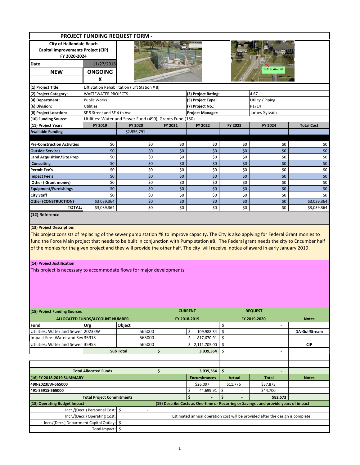|                                                                                                                                                                                                                                                                                                                                                                                                                                                                                              |                                       | <b>PROJECT FUNDING REQUEST FORM -</b>                    |                                |                         |                                |                                                                                      |                   |  |
|----------------------------------------------------------------------------------------------------------------------------------------------------------------------------------------------------------------------------------------------------------------------------------------------------------------------------------------------------------------------------------------------------------------------------------------------------------------------------------------------|---------------------------------------|----------------------------------------------------------|--------------------------------|-------------------------|--------------------------------|--------------------------------------------------------------------------------------|-------------------|--|
| <b>City of Hallandale Beach</b><br>Capital Improvements Project (CIP)                                                                                                                                                                                                                                                                                                                                                                                                                        |                                       |                                                          |                                |                         |                                |                                                                                      |                   |  |
| FY 2020-2024                                                                                                                                                                                                                                                                                                                                                                                                                                                                                 |                                       |                                                          |                                |                         |                                |                                                                                      |                   |  |
| <b>Date</b>                                                                                                                                                                                                                                                                                                                                                                                                                                                                                  | 11/27/2018                            |                                                          |                                |                         |                                | <b>Lift Station #8</b>                                                               |                   |  |
| <b>NEW</b>                                                                                                                                                                                                                                                                                                                                                                                                                                                                                   | <b>ONGOING</b>                        |                                                          |                                |                         |                                |                                                                                      |                   |  |
|                                                                                                                                                                                                                                                                                                                                                                                                                                                                                              | X                                     |                                                          |                                |                         |                                |                                                                                      |                   |  |
| (1) Project Title:                                                                                                                                                                                                                                                                                                                                                                                                                                                                           |                                       | Lift Station Rehabilitation (Lift Station #8)            |                                |                         |                                |                                                                                      |                   |  |
| (2) Project Category:                                                                                                                                                                                                                                                                                                                                                                                                                                                                        | <b>WASTEWATER PROJECTS</b>            |                                                          |                                | (3) Project Rating:     |                                | 4.67                                                                                 |                   |  |
| (4) Department:                                                                                                                                                                                                                                                                                                                                                                                                                                                                              | <b>Public Works</b>                   |                                                          |                                | (5) Project Type:       |                                | Utility / Piping                                                                     |                   |  |
| (6) Division:                                                                                                                                                                                                                                                                                                                                                                                                                                                                                | <b>Utilities</b>                      |                                                          |                                | (7) Project No.:        |                                | P1714                                                                                |                   |  |
| (8) Project Location:                                                                                                                                                                                                                                                                                                                                                                                                                                                                        | SE 5 Street and SE 4 th Ave           |                                                          |                                | <b>Project Manager:</b> |                                | James Sylvain                                                                        |                   |  |
| (10) Funding Source:                                                                                                                                                                                                                                                                                                                                                                                                                                                                         |                                       | Utilities: Water and Sewer Fund (490), Grants Fund (150) |                                |                         |                                |                                                                                      |                   |  |
| (11) Project Years:<br><b>Available Funding</b>                                                                                                                                                                                                                                                                                                                                                                                                                                              | FY 2019                               | FY 2020                                                  | FY 2021                        | FY 2022                 | FY 2023                        | FY 2024                                                                              | <b>Total Cost</b> |  |
|                                                                                                                                                                                                                                                                                                                                                                                                                                                                                              |                                       | \$2,956,791                                              |                                |                         |                                |                                                                                      |                   |  |
| <b>Pre-Construction Activities</b>                                                                                                                                                                                                                                                                                                                                                                                                                                                           | \$0                                   | \$0                                                      | \$0                            | \$0                     | \$0                            | \$0                                                                                  | \$0               |  |
| <b>Outside Services</b>                                                                                                                                                                                                                                                                                                                                                                                                                                                                      | \$0                                   | \$0                                                      | \$0                            | \$0                     | \$0                            | \$0                                                                                  | \$0               |  |
| <b>Land Acquisition/Site Prep</b>                                                                                                                                                                                                                                                                                                                                                                                                                                                            | \$0                                   | \$0                                                      | \$0                            | \$0                     | \$0                            | \$0                                                                                  | \$0               |  |
| <b>Consulting</b>                                                                                                                                                                                                                                                                                                                                                                                                                                                                            | \$0                                   | \$0                                                      | \$0                            | \$0                     | \$0                            | \$0                                                                                  | \$0               |  |
| <b>Permit Fee's</b>                                                                                                                                                                                                                                                                                                                                                                                                                                                                          | \$0                                   | \$0                                                      | \$0                            | \$0                     | \$0                            | \$0                                                                                  | \$0               |  |
| <b>Impact Fee's</b>                                                                                                                                                                                                                                                                                                                                                                                                                                                                          | \$0                                   | \$0                                                      | \$0                            | \$0                     | \$0                            | \$0                                                                                  | $$0$$             |  |
| Other (Grant money)                                                                                                                                                                                                                                                                                                                                                                                                                                                                          | \$0                                   | \$0                                                      | \$0                            | \$0                     | \$0                            | \$0                                                                                  | \$0               |  |
| <b>Equipment/Furnishings</b>                                                                                                                                                                                                                                                                                                                                                                                                                                                                 | \$0                                   | \$0                                                      | \$0                            | \$0                     | \$0                            | \$0                                                                                  | \$0               |  |
| <b>City Staff</b>                                                                                                                                                                                                                                                                                                                                                                                                                                                                            | \$0                                   | \$0                                                      | \$0                            | \$0                     | \$0                            | \$0                                                                                  | \$0               |  |
| <b>Other (CONSTRUCTION)</b>                                                                                                                                                                                                                                                                                                                                                                                                                                                                  | \$3,039,364                           | \$0                                                      | \$0                            | \$0                     | \$0                            | \$0                                                                                  | \$3,039,364       |  |
| <b>TOTAL:</b><br>(12) Reference                                                                                                                                                                                                                                                                                                                                                                                                                                                              | \$3,039,364                           | \$0                                                      | \$0                            | \$0                     | \$0                            | \$0                                                                                  | \$3,039,364       |  |
| (13) Project Description:<br>This project consists of replacing of the sewer pump station #8 to improve capacity. The City is also applying for Federal Grant monies to<br>fund the Force Main project that needs to be built in conjunction with Pump station #8. The Federal grant needs the city to Encumber half<br>of the monies for the given project and they will provide the other half. The city will receive notice of award in early January 2019.<br>(14) Project Justification |                                       |                                                          |                                |                         |                                |                                                                                      |                   |  |
| This project is necessary to accommodate flows for major developments.                                                                                                                                                                                                                                                                                                                                                                                                                       |                                       |                                                          |                                |                         |                                |                                                                                      |                   |  |
| (15) Project Funding Sources                                                                                                                                                                                                                                                                                                                                                                                                                                                                 | <b>ALLOCATED FUNDS/ACCOUNT NUMBER</b> |                                                          | <b>CURRENT</b><br>FY 2018-2019 |                         | <b>REQUEST</b><br>FY 2019-2020 |                                                                                      | <b>Notes</b>      |  |
| <b>Fund</b>                                                                                                                                                                                                                                                                                                                                                                                                                                                                                  | Org                                   | <b>Obiect</b>                                            |                                |                         | \$                             | $\overline{\phantom{a}}$                                                             |                   |  |
| Utilities: Water and Sewer 2023EW                                                                                                                                                                                                                                                                                                                                                                                                                                                            |                                       | 565000                                                   |                                | \$<br>109,988.34        | \$                             | $\overline{\phantom{a}}$                                                             | DA-GulfStream     |  |
| Impact Fee-Water and Sev3591S                                                                                                                                                                                                                                                                                                                                                                                                                                                                |                                       | 565000                                                   |                                | \$<br>817,670.91        | \$                             |                                                                                      |                   |  |
| Utilities: Water and Sewer 3595S                                                                                                                                                                                                                                                                                                                                                                                                                                                             |                                       | 565000                                                   |                                | \$2,111,705.00          | Ŝ.                             | $\sim$                                                                               | <b>CIP</b>        |  |
|                                                                                                                                                                                                                                                                                                                                                                                                                                                                                              |                                       | <b>Sub Total</b>                                         | \$                             | 3,039,364               | \$                             |                                                                                      |                   |  |
|                                                                                                                                                                                                                                                                                                                                                                                                                                                                                              |                                       |                                                          |                                |                         |                                |                                                                                      |                   |  |
|                                                                                                                                                                                                                                                                                                                                                                                                                                                                                              |                                       |                                                          |                                |                         |                                |                                                                                      |                   |  |
| <b>Total Allocated Funds</b>                                                                                                                                                                                                                                                                                                                                                                                                                                                                 |                                       |                                                          | \$                             | 3,039,364               | \$                             | $\overline{\phantom{a}}$                                                             |                   |  |
| (16) FY 2018-2019 SUMMARY                                                                                                                                                                                                                                                                                                                                                                                                                                                                    |                                       |                                                          |                                | <b>Encumbrances</b>     | Actual                         | Total                                                                                | <b>Notes</b>      |  |
| 490-2023EW-565000                                                                                                                                                                                                                                                                                                                                                                                                                                                                            |                                       |                                                          |                                | \$26,097                | \$11,776                       | \$37,873                                                                             |                   |  |
| 491-3591S-565000                                                                                                                                                                                                                                                                                                                                                                                                                                                                             |                                       |                                                          |                                | \$<br>44,699.91         | \$                             | \$44,700                                                                             |                   |  |
| <b>Total Project Commitments</b>                                                                                                                                                                                                                                                                                                                                                                                                                                                             |                                       |                                                          |                                | $\mathsf{\hat{S}}$      | \$                             | \$82,573                                                                             |                   |  |
| (18) Operating Budget Impact                                                                                                                                                                                                                                                                                                                                                                                                                                                                 |                                       |                                                          |                                |                         |                                | (19) Describe Costs as One-time or Recurring or Savings, and provide years of impact |                   |  |
|                                                                                                                                                                                                                                                                                                                                                                                                                                                                                              | Incr./(Decr.) Personnel Cost:         | \$<br>$\overline{\phantom{a}}$                           |                                |                         |                                |                                                                                      |                   |  |
|                                                                                                                                                                                                                                                                                                                                                                                                                                                                                              | Incr./(Decr.) Operating Cost:         |                                                          |                                |                         |                                | Estimated annual operation cost will be provided after the design is complete.       |                   |  |
| Incr./(Decr.) Department Capital Outlay: \$                                                                                                                                                                                                                                                                                                                                                                                                                                                  |                                       | $\overline{a}$                                           |                                |                         |                                |                                                                                      |                   |  |
|                                                                                                                                                                                                                                                                                                                                                                                                                                                                                              | Total Impact:                         | -\$<br>٠                                                 |                                |                         |                                |                                                                                      |                   |  |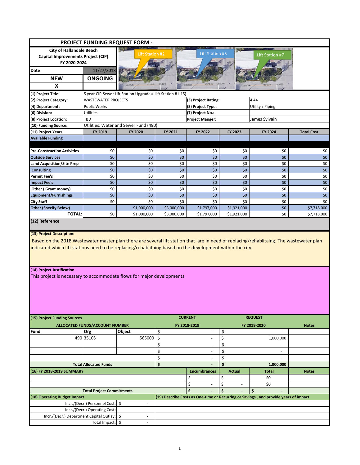|                                                                                                                                                                                                                                                                                                                                                              |                                                            | <b>PROJECT FUNDING REQUEST FORM -</b>                               |                |                                |                                |                                                                                      |                   |  |  |
|--------------------------------------------------------------------------------------------------------------------------------------------------------------------------------------------------------------------------------------------------------------------------------------------------------------------------------------------------------------|------------------------------------------------------------|---------------------------------------------------------------------|----------------|--------------------------------|--------------------------------|--------------------------------------------------------------------------------------|-------------------|--|--|
| <b>City of Hallandale Beach</b>                                                                                                                                                                                                                                                                                                                              |                                                            |                                                                     |                |                                |                                |                                                                                      |                   |  |  |
| Capital Improvements Project (CIP)                                                                                                                                                                                                                                                                                                                           |                                                            | <b>Lift Station #5</b><br><b>Lift Station #2</b><br>Lift Station #7 |                |                                |                                |                                                                                      |                   |  |  |
| FY 2020-2024                                                                                                                                                                                                                                                                                                                                                 |                                                            |                                                                     |                |                                |                                |                                                                                      |                   |  |  |
| Date                                                                                                                                                                                                                                                                                                                                                         | 11/27/2018                                                 |                                                                     |                |                                |                                |                                                                                      |                   |  |  |
| <b>NEW</b>                                                                                                                                                                                                                                                                                                                                                   | <b>ONGOING</b>                                             |                                                                     |                |                                |                                |                                                                                      |                   |  |  |
| $\mathbf{x}$                                                                                                                                                                                                                                                                                                                                                 |                                                            |                                                                     |                |                                |                                |                                                                                      |                   |  |  |
|                                                                                                                                                                                                                                                                                                                                                              |                                                            |                                                                     |                |                                |                                |                                                                                      |                   |  |  |
| (1) Project Title:                                                                                                                                                                                                                                                                                                                                           | 5 year CIP-Sewer Lift Station Upgrades(Lift Station #1-15) |                                                                     |                |                                |                                |                                                                                      |                   |  |  |
| (2) Project Category:                                                                                                                                                                                                                                                                                                                                        | <b>WASTEWATER PROJECTS</b>                                 |                                                                     |                | (3) Project Rating:            |                                | 4.44                                                                                 |                   |  |  |
| (4) Department:                                                                                                                                                                                                                                                                                                                                              | Public Works                                               |                                                                     |                | (5) Project Type:              |                                | Utility / Piping                                                                     |                   |  |  |
| (6) Division:                                                                                                                                                                                                                                                                                                                                                | Utilities                                                  |                                                                     |                | (7) Project No.:               |                                |                                                                                      |                   |  |  |
| (8) Project Location:                                                                                                                                                                                                                                                                                                                                        | TBD                                                        |                                                                     |                | <b>Project Manger:</b>         |                                | James Sylvain                                                                        |                   |  |  |
| (10) Funding Source:                                                                                                                                                                                                                                                                                                                                         |                                                            | Utilities: Water and Sewer Fund (490)                               |                |                                |                                |                                                                                      |                   |  |  |
| (11) Project Years:                                                                                                                                                                                                                                                                                                                                          | FY 2019                                                    | FY 2020                                                             | FY 2021        | FY 2022                        | FY 2023                        | FY 2024                                                                              | <b>Total Cost</b> |  |  |
| <b>Available Funding</b>                                                                                                                                                                                                                                                                                                                                     |                                                            |                                                                     |                |                                |                                |                                                                                      |                   |  |  |
|                                                                                                                                                                                                                                                                                                                                                              |                                                            |                                                                     |                |                                |                                |                                                                                      |                   |  |  |
| <b>Pre-Construction Activities</b>                                                                                                                                                                                                                                                                                                                           | \$0                                                        | \$0                                                                 | \$0            | \$0                            | \$0                            | \$0                                                                                  | \$0               |  |  |
| <b>Outside Services</b>                                                                                                                                                                                                                                                                                                                                      | \$0                                                        | \$0                                                                 | \$0            | \$0                            | \$0                            | \$0                                                                                  | \$0               |  |  |
| <b>Land Acquisition/Site Prep</b>                                                                                                                                                                                                                                                                                                                            | \$0                                                        | \$0                                                                 | \$0            | \$0                            | \$0                            | \$0                                                                                  | \$0               |  |  |
| <b>Consulting</b>                                                                                                                                                                                                                                                                                                                                            | \$0                                                        | \$0                                                                 | \$0            | \$0                            | \$0                            | \$0                                                                                  | \$0               |  |  |
| <b>Permit Fee's</b>                                                                                                                                                                                                                                                                                                                                          | \$0                                                        | \$0                                                                 | \$0            | \$0                            | \$0                            | \$0                                                                                  | \$0               |  |  |
| <b>Impact Fee's</b>                                                                                                                                                                                                                                                                                                                                          | \$0                                                        | \$0                                                                 | \$0            | \$0                            | \$0                            | \$0                                                                                  | \$0               |  |  |
| Other (Grant money)                                                                                                                                                                                                                                                                                                                                          | \$0                                                        | \$0                                                                 | \$0            | \$0                            | \$0                            | \$0                                                                                  | \$0               |  |  |
| <b>Equipment/Furnishings</b>                                                                                                                                                                                                                                                                                                                                 | \$0                                                        | \$0                                                                 | \$0            | \$0                            | \$0                            | \$0                                                                                  | $$0$$             |  |  |
| <b>City Staff</b>                                                                                                                                                                                                                                                                                                                                            | \$0                                                        | \$0                                                                 | \$0            | \$0                            | \$0                            | \$0                                                                                  | \$0               |  |  |
| <b>Other (Specify Below)</b>                                                                                                                                                                                                                                                                                                                                 |                                                            | \$1,000,000                                                         | \$3,000,000    | \$1,797,000                    | \$1,921,000                    | \$0                                                                                  | \$7,718,000       |  |  |
| <b>TOTAL:</b><br>(12) Reference                                                                                                                                                                                                                                                                                                                              | \$0                                                        | \$1,000,000                                                         | \$3,000,000    | \$1,797,000                    | \$1,921,000                    | \$0                                                                                  | \$7,718,000       |  |  |
| Based on the 2018 Wastewater master plan there are several lift station that are in need of replacing/rehablitaing. The wastewater plan<br>indicated which lift stations need to be replacing/rehablitaing based on the development within the city.<br>(14) Project Justification<br>This project is necessary to accommodate flows for major developments. |                                                            |                                                                     |                |                                |                                |                                                                                      |                   |  |  |
|                                                                                                                                                                                                                                                                                                                                                              |                                                            |                                                                     |                |                                |                                |                                                                                      |                   |  |  |
| (15) Project Funding Sources                                                                                                                                                                                                                                                                                                                                 |                                                            |                                                                     | <b>CURRENT</b> |                                |                                | <b>REQUEST</b>                                                                       |                   |  |  |
|                                                                                                                                                                                                                                                                                                                                                              | ALLOCATED FUNDS/ACCOUNT NUMBER                             |                                                                     |                | FY 2018-2019                   |                                | FY 2019-2020<br><b>Notes</b>                                                         |                   |  |  |
| Fund                                                                                                                                                                                                                                                                                                                                                         | Org                                                        | Object                                                              | \$             | $\overline{a}$                 | \$                             | $\overline{\phantom{a}}$                                                             |                   |  |  |
|                                                                                                                                                                                                                                                                                                                                                              | 490 3510S                                                  | 565000                                                              | \$             | ÷,                             | \$                             | 1,000,000                                                                            |                   |  |  |
|                                                                                                                                                                                                                                                                                                                                                              |                                                            |                                                                     | \$             | ÷,                             | \$                             | $\sim$                                                                               |                   |  |  |
|                                                                                                                                                                                                                                                                                                                                                              |                                                            |                                                                     | \$             | ٠                              | \$                             | $\sim$                                                                               |                   |  |  |
|                                                                                                                                                                                                                                                                                                                                                              |                                                            |                                                                     | \$             |                                | \$                             |                                                                                      |                   |  |  |
| <b>Total Allocated Funds</b>                                                                                                                                                                                                                                                                                                                                 |                                                            |                                                                     | \$             | $\overline{a}$                 | \$                             | 1,000,000                                                                            |                   |  |  |
| (16) FY 2018-2019 SUMMARY                                                                                                                                                                                                                                                                                                                                    |                                                            |                                                                     |                | <b>Encumbrances</b>            | <b>Actual</b>                  | <b>Total</b>                                                                         | <b>Notes</b>      |  |  |
|                                                                                                                                                                                                                                                                                                                                                              |                                                            |                                                                     |                | \$<br>$\overline{\phantom{a}}$ | \$<br>$\overline{\phantom{a}}$ | \$0                                                                                  |                   |  |  |
|                                                                                                                                                                                                                                                                                                                                                              |                                                            |                                                                     |                | \$<br>$\overline{\phantom{a}}$ | \$<br>$\overline{\phantom{a}}$ | \$0                                                                                  |                   |  |  |
| <b>Total Project Commitments</b>                                                                                                                                                                                                                                                                                                                             |                                                            |                                                                     |                | $\ddot{\bm{\zeta}}$            | \$                             | \$                                                                                   |                   |  |  |
| (18) Operating Budget Impact                                                                                                                                                                                                                                                                                                                                 |                                                            |                                                                     |                |                                |                                | (19) Describe Costs as One-time or Recurring or Savings, and provide years of impact |                   |  |  |
|                                                                                                                                                                                                                                                                                                                                                              | Incr./(Decr.) Personnel Cost:                              | l\$<br>$\mathcal{L}$                                                |                |                                |                                |                                                                                      |                   |  |  |
|                                                                                                                                                                                                                                                                                                                                                              | Incr./(Decr.) Operating Cost:                              |                                                                     |                |                                |                                |                                                                                      |                   |  |  |
| Incr./(Decr.) Department Capital Outlay:                                                                                                                                                                                                                                                                                                                     |                                                            | \$<br>$\frac{1}{2}$                                                 |                |                                |                                |                                                                                      |                   |  |  |
|                                                                                                                                                                                                                                                                                                                                                              | Total Impact: \$                                           | ÷,                                                                  |                |                                |                                |                                                                                      |                   |  |  |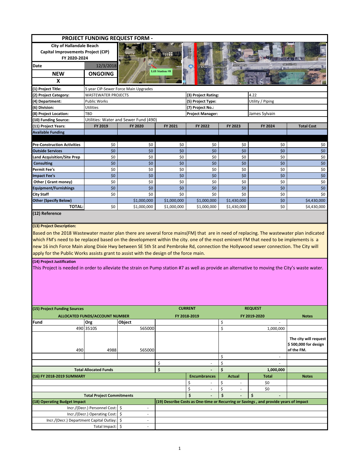| <b>PROJECT FUNDING REQUEST FORM -</b>                                                                                                                                                                                                                                                                                                                                                                                                                                                                         |                                      |                                       |                        |                                                                                      |                                |                          |                                                             |  |  |
|---------------------------------------------------------------------------------------------------------------------------------------------------------------------------------------------------------------------------------------------------------------------------------------------------------------------------------------------------------------------------------------------------------------------------------------------------------------------------------------------------------------|--------------------------------------|---------------------------------------|------------------------|--------------------------------------------------------------------------------------|--------------------------------|--------------------------|-------------------------------------------------------------|--|--|
| <b>City of Hallandale Beach</b>                                                                                                                                                                                                                                                                                                                                                                                                                                                                               |                                      |                                       |                        |                                                                                      |                                |                          |                                                             |  |  |
| Capital Improvements Project (CIP)                                                                                                                                                                                                                                                                                                                                                                                                                                                                            |                                      |                                       |                        |                                                                                      |                                |                          |                                                             |  |  |
| FY 2020-2024                                                                                                                                                                                                                                                                                                                                                                                                                                                                                                  |                                      |                                       |                        |                                                                                      |                                |                          |                                                             |  |  |
| Date                                                                                                                                                                                                                                                                                                                                                                                                                                                                                                          | 12/3/2018                            |                                       |                        | 2 Miami Boutiques                                                                    | <b>SEBINST</b>                 |                          | <b>SEEDS?</b>                                               |  |  |
| <b>NEW</b>                                                                                                                                                                                                                                                                                                                                                                                                                                                                                                    | <b>ONGOING</b>                       |                                       | <b>Lift Station #8</b> |                                                                                      |                                |                          |                                                             |  |  |
|                                                                                                                                                                                                                                                                                                                                                                                                                                                                                                               |                                      |                                       |                        |                                                                                      |                                |                          |                                                             |  |  |
| X                                                                                                                                                                                                                                                                                                                                                                                                                                                                                                             |                                      |                                       |                        |                                                                                      |                                |                          |                                                             |  |  |
| (1) Project Title:                                                                                                                                                                                                                                                                                                                                                                                                                                                                                            | 5 year CIP-Sewer Force Main Upgrades |                                       |                        |                                                                                      |                                |                          |                                                             |  |  |
| (2) Project Category:                                                                                                                                                                                                                                                                                                                                                                                                                                                                                         | <b>WASTEWATER PROJECTS</b>           |                                       |                        | (3) Project Rating:                                                                  | 4.22                           |                          |                                                             |  |  |
| (4) Department:                                                                                                                                                                                                                                                                                                                                                                                                                                                                                               | <b>Public Works</b>                  |                                       |                        | (5) Project Type:                                                                    |                                | Utility / Piping         |                                                             |  |  |
| (6) Division:                                                                                                                                                                                                                                                                                                                                                                                                                                                                                                 | Utilities                            |                                       |                        | (7) Project No.:                                                                     |                                |                          |                                                             |  |  |
| (8) Project Location:                                                                                                                                                                                                                                                                                                                                                                                                                                                                                         | TBD                                  |                                       |                        | <b>Project Manager:</b>                                                              |                                | James Sylvain            |                                                             |  |  |
| (10) Funding Source:                                                                                                                                                                                                                                                                                                                                                                                                                                                                                          |                                      | Utilities: Water and Sewer Fund (490) |                        |                                                                                      |                                |                          |                                                             |  |  |
| (11) Project Years:                                                                                                                                                                                                                                                                                                                                                                                                                                                                                           | FY 2019                              | FY 2020                               | FY 2021                | FY 2022                                                                              | FY 2023                        | FY 2024                  | <b>Total Cost</b>                                           |  |  |
| <b>Available Funding</b>                                                                                                                                                                                                                                                                                                                                                                                                                                                                                      |                                      |                                       |                        |                                                                                      |                                |                          |                                                             |  |  |
| <b>Pre-Construction Activities</b>                                                                                                                                                                                                                                                                                                                                                                                                                                                                            |                                      | \$0                                   |                        |                                                                                      |                                |                          |                                                             |  |  |
| <b>Outside Services</b>                                                                                                                                                                                                                                                                                                                                                                                                                                                                                       | \$0<br>\$0                           | \$0                                   | \$0<br>\$0             | \$0<br>\$0                                                                           | \$0<br>\$0                     | \$0<br>\$0\$             | \$0<br>\$0                                                  |  |  |
|                                                                                                                                                                                                                                                                                                                                                                                                                                                                                                               |                                      |                                       |                        |                                                                                      |                                |                          |                                                             |  |  |
| <b>Land Acquisition/Site Prep</b><br><b>Consulting</b>                                                                                                                                                                                                                                                                                                                                                                                                                                                        | \$0<br>\$0                           | \$0<br>\$0                            | \$0<br>\$0             | \$0<br>\$0                                                                           | \$0<br>\$0                     | \$0<br>\$0\$             | \$0<br>\$0                                                  |  |  |
| <b>Permit Fee's</b>                                                                                                                                                                                                                                                                                                                                                                                                                                                                                           | \$0                                  | \$0                                   | \$0                    | \$0                                                                                  | \$0                            | \$0                      | \$0                                                         |  |  |
| <b>Impact Fee's</b>                                                                                                                                                                                                                                                                                                                                                                                                                                                                                           | \$0                                  | \$0                                   | \$0                    | \$0                                                                                  | \$0                            | \$0\$                    | \$0                                                         |  |  |
| Other (Grant money)                                                                                                                                                                                                                                                                                                                                                                                                                                                                                           | \$0                                  | \$0                                   | \$0                    | \$0                                                                                  | \$0                            | \$0                      | \$0                                                         |  |  |
| <b>Equipment/Furnishings</b>                                                                                                                                                                                                                                                                                                                                                                                                                                                                                  | \$0                                  | \$0                                   | \$0                    | \$0                                                                                  | \$0                            | \$0\$                    | \$0                                                         |  |  |
| <b>City Staff</b>                                                                                                                                                                                                                                                                                                                                                                                                                                                                                             | \$0                                  | \$0                                   | \$0                    | \$0                                                                                  | \$0                            | \$0                      | \$0                                                         |  |  |
| <b>Other (Specify Below)</b>                                                                                                                                                                                                                                                                                                                                                                                                                                                                                  |                                      | \$1,000,000                           | \$1,000,000            | \$1,000,000                                                                          | \$1,430,000                    | \$0\$                    | \$4,430,000                                                 |  |  |
| TOTAL:                                                                                                                                                                                                                                                                                                                                                                                                                                                                                                        | \$0                                  | \$1,000,000                           | \$1,000,000            | \$1,000,000                                                                          | \$1,430,000                    | \$0                      | \$4,430,000                                                 |  |  |
| (12) Reference                                                                                                                                                                                                                                                                                                                                                                                                                                                                                                |                                      |                                       |                        |                                                                                      |                                |                          |                                                             |  |  |
| Based on the 2018 Wastewater master plan there are several force mains(FM) that are in need of replacing. The wastewater plan indicated<br>which FM's need to be replaced based on the development within the city. one of the most eminent FM that need to be implements is a<br>new 16 inch Force Main along Dixie Hwy between SE 5th St and Pembroke Rd, connection the Hollywood sewer connection. The City will<br>apply for the Public Works assists grant to assist with the design of the force main. |                                      |                                       |                        |                                                                                      |                                |                          |                                                             |  |  |
| (14) Project Justification<br>This Project is needed in order to alleviate the strain on Pump station #7 as well as provide an alternative to moving the City's waste water.                                                                                                                                                                                                                                                                                                                                  |                                      |                                       |                        |                                                                                      |                                |                          |                                                             |  |  |
| (15) Project Funding Sources                                                                                                                                                                                                                                                                                                                                                                                                                                                                                  |                                      |                                       |                        | <b>CURRENT</b>                                                                       |                                | <b>REQUEST</b>           |                                                             |  |  |
|                                                                                                                                                                                                                                                                                                                                                                                                                                                                                                               | ALLOCATED FUNDS/ACCOUNT NUMBER       |                                       |                        | FY 2018-2019                                                                         |                                | FY 2019-2020             | <b>Notes</b>                                                |  |  |
| Fund                                                                                                                                                                                                                                                                                                                                                                                                                                                                                                          | Org                                  | Object                                |                        |                                                                                      | \$                             |                          |                                                             |  |  |
|                                                                                                                                                                                                                                                                                                                                                                                                                                                                                                               | 490 3510S                            | 565000                                |                        |                                                                                      | \$                             | 1,000,000                |                                                             |  |  |
| 490                                                                                                                                                                                                                                                                                                                                                                                                                                                                                                           | 4988                                 | 565000                                |                        |                                                                                      |                                |                          | The city will request<br>\$500,000 for design<br>of the FM. |  |  |
|                                                                                                                                                                                                                                                                                                                                                                                                                                                                                                               |                                      |                                       |                        |                                                                                      | \$                             | $\overline{\phantom{a}}$ |                                                             |  |  |
|                                                                                                                                                                                                                                                                                                                                                                                                                                                                                                               |                                      |                                       | \$                     |                                                                                      | \$                             |                          |                                                             |  |  |
| <b>Total Allocated Funds</b>                                                                                                                                                                                                                                                                                                                                                                                                                                                                                  |                                      |                                       | \$                     |                                                                                      | \$                             | 1,000,000                |                                                             |  |  |
| (16) FY 2018-2019 SUMMARY                                                                                                                                                                                                                                                                                                                                                                                                                                                                                     |                                      |                                       |                        | <b>Encumbrances</b>                                                                  | <b>Actual</b>                  | <b>Total</b>             | <b>Notes</b>                                                |  |  |
|                                                                                                                                                                                                                                                                                                                                                                                                                                                                                                               |                                      |                                       |                        | \$                                                                                   | \$                             | \$0                      |                                                             |  |  |
|                                                                                                                                                                                                                                                                                                                                                                                                                                                                                                               |                                      |                                       |                        | \$<br>$\overline{\phantom{a}}$                                                       | \$<br>$\overline{\phantom{a}}$ | \$0                      |                                                             |  |  |
| <b>Total Project Commitments</b>                                                                                                                                                                                                                                                                                                                                                                                                                                                                              |                                      |                                       |                        | \$                                                                                   | \$                             | \$                       |                                                             |  |  |
| (18) Operating Budget Impact                                                                                                                                                                                                                                                                                                                                                                                                                                                                                  |                                      |                                       |                        | (19) Describe Costs as One-time or Recurring or Savings, and provide years of impact |                                |                          |                                                             |  |  |
|                                                                                                                                                                                                                                                                                                                                                                                                                                                                                                               | Incr./(Decr.) Personnel Cost:        | \$                                    |                        |                                                                                      |                                |                          |                                                             |  |  |
|                                                                                                                                                                                                                                                                                                                                                                                                                                                                                                               | Incr./(Decr.) Operating Cost:        | \$<br>٠                               |                        |                                                                                      |                                |                          |                                                             |  |  |
| Incr./(Decr.) Department Capital Outlay:                                                                                                                                                                                                                                                                                                                                                                                                                                                                      |                                      | \$<br>$\overline{\phantom{a}}$        |                        |                                                                                      |                                |                          |                                                             |  |  |
|                                                                                                                                                                                                                                                                                                                                                                                                                                                                                                               | Total Impact:                        | \$<br>$\overline{a}$                  |                        |                                                                                      |                                |                          |                                                             |  |  |